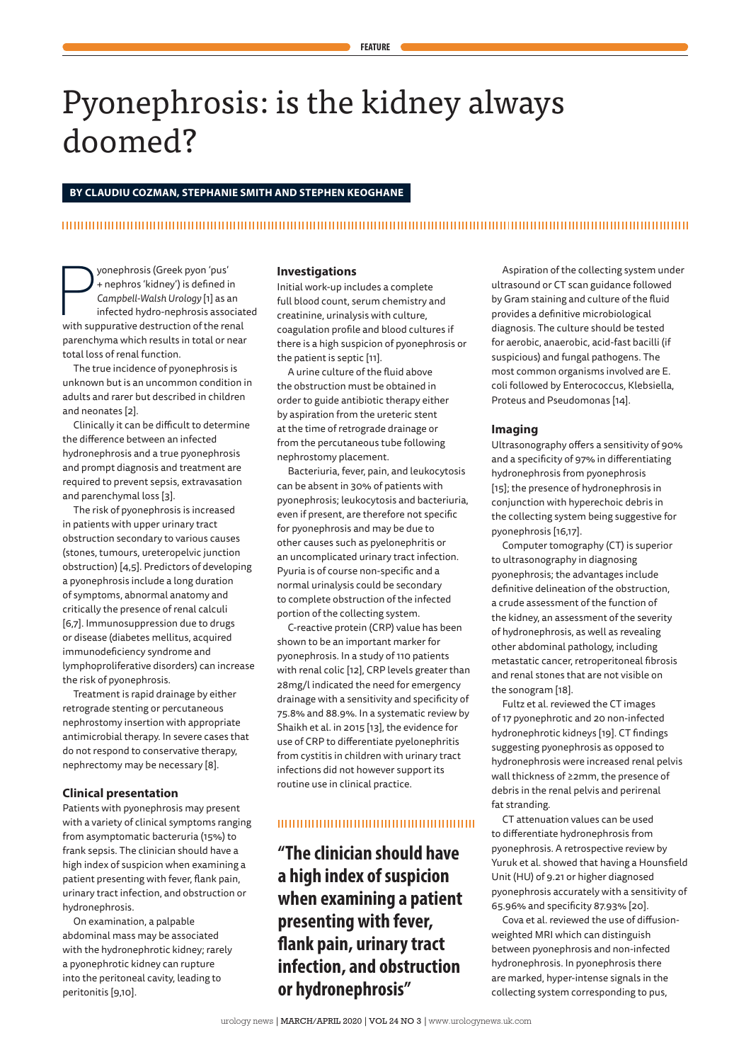# Pyonephrosis: is the kidney always doomed?

## **BY CLAUDIU COZMAN, STEPHANIE SMITH AND STEPHEN KEOGHANE**

## 

yonephrosis (Greek pyon 'pus'<br>
+ nephros 'kidney') is defined in<br>
Campbell-Walsh Urology [1] as an<br>
infected hydro-nephrosis associat<br>
with suppurative destruction of the renal yonephrosis (Greek pyon 'pus' + nephros 'kidney') is defined in *Campbell-Walsh Urology* [1] as an infected hydro-nephrosis associated parenchyma which results in total or near total loss of renal function.

The true incidence of pyonephrosis is unknown but is an uncommon condition in adults and rarer but described in children and neonates [2].

Clinically it can be difficult to determine the difference between an infected hydronephrosis and a true pyonephrosis and prompt diagnosis and treatment are required to prevent sepsis, extravasation and parenchymal loss [3].

The risk of pyonephrosis is increased in patients with upper urinary tract obstruction secondary to various causes (stones, tumours, ureteropelvic junction obstruction) [4,5]. Predictors of developing a pyonephrosis include a long duration of symptoms, abnormal anatomy and critically the presence of renal calculi [6,7]. Immunosuppression due to drugs or disease (diabetes mellitus, acquired immunodeficiency syndrome and lymphoproliferative disorders) can increase the risk of pyonephrosis.

Treatment is rapid drainage by either retrograde stenting or percutaneous nephrostomy insertion with appropriate antimicrobial therapy. In severe cases that do not respond to conservative therapy, nephrectomy may be necessary [8].

### **Clinical presentation**

Patients with pyonephrosis may present with a variety of clinical symptoms ranging from asymptomatic bacteruria (15%) to frank sepsis. The clinician should have a high index of suspicion when examining a patient presenting with fever, flank pain, urinary tract infection, and obstruction or hydronephrosis.

On examination, a palpable abdominal mass may be associated with the hydronephrotic kidney; rarely a pyonephrotic kidney can rupture into the peritoneal cavity, leading to peritonitis [9,10].

## **Investigations**

Initial work-up includes a complete full blood count, serum chemistry and creatinine, urinalysis with culture, coagulation profile and blood cultures if there is a high suspicion of pyonephrosis or the patient is septic [11].

A urine culture of the fluid above the obstruction must be obtained in order to guide antibiotic therapy either by aspiration from the ureteric stent at the time of retrograde drainage or from the percutaneous tube following nephrostomy placement.

Bacteriuria, fever, pain, and leukocytosis can be absent in 30% of patients with pyonephrosis; leukocytosis and bacteriuria, even if present, are therefore not specific for pyonephrosis and may be due to other causes such as pyelonephritis or an uncomplicated urinary tract infection. Pyuria is of course non-specific and a normal urinalysis could be secondary to complete obstruction of the infected portion of the collecting system.

C-reactive protein (CRP) value has been shown to be an important marker for pyonephrosis. In a study of 110 patients with renal colic [12], CRP levels greater than 28mg/l indicated the need for emergency drainage with a sensitivity and specificity of 75.8% and 88.9%. In a systematic review by Shaikh et al. in 2015 [13], the evidence for use of CRP to differentiate pyelonephritis from cystitis in children with urinary tract infections did not however support its routine use in clinical practice.

### 

**"The clinician should have a high index of suspicion when examining a patient presenting with fever, flank pain, urinary tract infection, and obstruction or hydronephrosis"**

Aspiration of the collecting system under ultrasound or CT scan guidance followed by Gram staining and culture of the fluid provides a definitive microbiological diagnosis. The culture should be tested for aerobic, anaerobic, acid-fast bacilli (if suspicious) and fungal pathogens. The most common organisms involved are E. coli followed by Enterococcus, Klebsiella, Proteus and Pseudomonas [14].

#### **Imaging**

Ultrasonography offers a sensitivity of 90% and a specificity of 97% in differentiating hydronephrosis from pyonephrosis [15]; the presence of hydronephrosis in conjunction with hyperechoic debris in the collecting system being suggestive for pyonephrosis [16,17].

Computer tomography (CT) is superior to ultrasonography in diagnosing pyonephrosis; the advantages include definitive delineation of the obstruction, a crude assessment of the function of the kidney, an assessment of the severity of hydronephrosis, as well as revealing other abdominal pathology, including metastatic cancer, retroperitoneal fibrosis and renal stones that are not visible on the sonogram [18].

Fultz et al. reviewed the CT images of 17 pyonephrotic and 20 non-infected hydronephrotic kidneys [19]. CT findings suggesting pyonephrosis as opposed to hydronephrosis were increased renal pelvis wall thickness of ≥2mm, the presence of debris in the renal pelvis and perirenal fat stranding.

CT attenuation values can be used to differentiate hydronephrosis from pyonephrosis. A retrospective review by Yuruk et al. showed that having a Hounsfield Unit (HU) of 9.21 or higher diagnosed pyonephrosis accurately with a sensitivity of 65.96% and specificity 87.93% [20].

Cova et al. reviewed the use of diffusionweighted MRI which can distinguish between pyonephrosis and non-infected hydronephrosis. In pyonephrosis there are marked, hyper-intense signals in the collecting system corresponding to pus,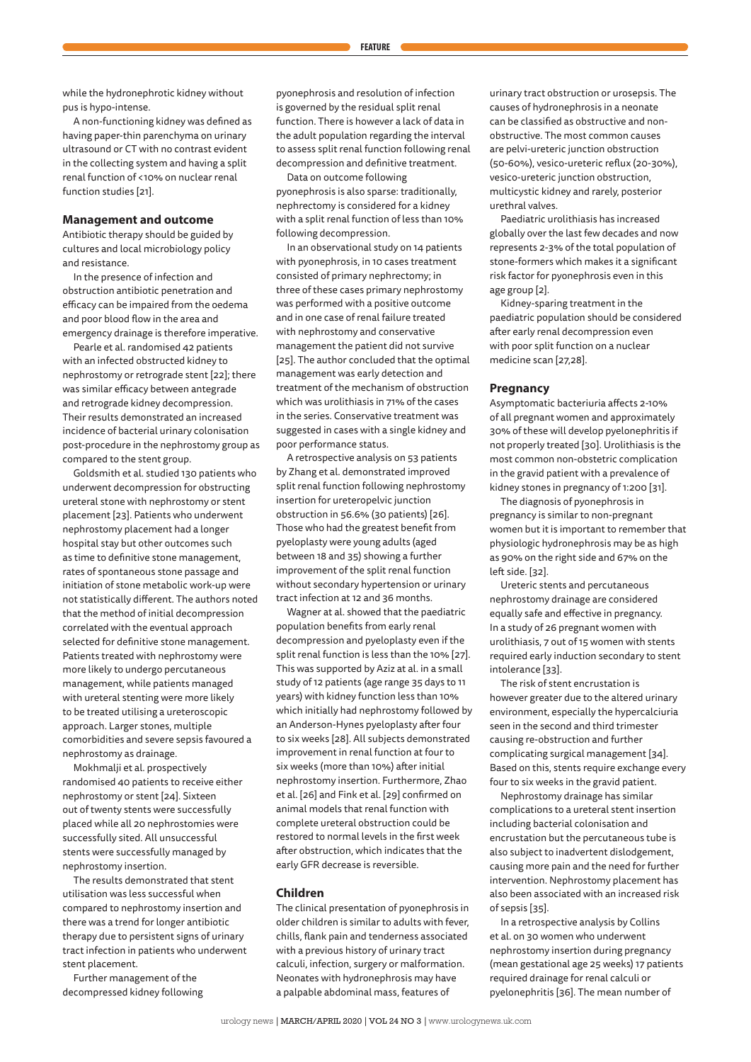A non-functioning kidney was defined as having paper-thin parenchyma on urinary ultrasound or CT with no contrast evident in the collecting system and having a split renal function of <10% on nuclear renal function studies [21].

### **Management and outcome**

Antibiotic therapy should be guided by cultures and local microbiology policy and resistance.

In the presence of infection and obstruction antibiotic penetration and efficacy can be impaired from the oedema and poor blood flow in the area and emergency drainage is therefore imperative.

Pearle et al. randomised 42 patients with an infected obstructed kidney to nephrostomy or retrograde stent [22]; there was similar efficacy between antegrade and retrograde kidney decompression. Their results demonstrated an increased incidence of bacterial urinary colonisation post-procedure in the nephrostomy group as compared to the stent group.

Goldsmith et al. studied 130 patients who underwent decompression for obstructing ureteral stone with nephrostomy or stent placement [23]. Patients who underwent nephrostomy placement had a longer hospital stay but other outcomes such as time to definitive stone management, rates of spontaneous stone passage and initiation of stone metabolic work-up were not statistically different. The authors noted that the method of initial decompression correlated with the eventual approach selected for definitive stone management. Patients treated with nephrostomy were more likely to undergo percutaneous management, while patients managed with ureteral stenting were more likely to be treated utilising a ureteroscopic approach. Larger stones, multiple comorbidities and severe sepsis favoured a nephrostomy as drainage.

Mokhmalji et al. prospectively randomised 40 patients to receive either nephrostomy or stent [24]. Sixteen out of twenty stents were successfully placed while all 20 nephrostomies were successfully sited. All unsuccessful stents were successfully managed by nephrostomy insertion.

The results demonstrated that stent utilisation was less successful when compared to nephrostomy insertion and there was a trend for longer antibiotic therapy due to persistent signs of urinary tract infection in patients who underwent stent placement.

Further management of the decompressed kidney following pyonephrosis and resolution of infection is governed by the residual split renal function. There is however a lack of data in the adult population regarding the interval to assess split renal function following renal decompression and definitive treatment.

Data on outcome following pyonephrosis is also sparse: traditionally, nephrectomy is considered for a kidney with a split renal function of less than 10% following decompression.

In an observational study on 14 patients with pyonephrosis, in 10 cases treatment consisted of primary nephrectomy; in three of these cases primary nephrostomy was performed with a positive outcome and in one case of renal failure treated with nephrostomy and conservative management the patient did not survive [25]. The author concluded that the optimal management was early detection and treatment of the mechanism of obstruction which was urolithiasis in 71% of the cases in the series. Conservative treatment was suggested in cases with a single kidney and poor performance status.

A retrospective analysis on 53 patients by Zhang et al. demonstrated improved split renal function following nephrostomy insertion for ureteropelvic junction obstruction in 56.6% (30 patients) [26]. Those who had the greatest benefit from pyeloplasty were young adults (aged between 18 and 35) showing a further improvement of the split renal function without secondary hypertension or urinary tract infection at 12 and 36 months.

Wagner at al. showed that the paediatric population benefits from early renal decompression and pyeloplasty even if the split renal function is less than the 10% [27]. This was supported by Aziz at al. in a small study of 12 patients (age range 35 days to 11 years) with kidney function less than 10% which initially had nephrostomy followed by an Anderson-Hynes pyeloplasty after four to six weeks [28]. All subjects demonstrated improvement in renal function at four to six weeks (more than 10%) after initial nephrostomy insertion. Furthermore, Zhao et al. [26] and Fink et al. [29] confirmed on animal models that renal function with complete ureteral obstruction could be restored to normal levels in the first week after obstruction, which indicates that the early GFR decrease is reversible.

#### **Children**

The clinical presentation of pyonephrosis in older children is similar to adults with fever, chills, flank pain and tenderness associated with a previous history of urinary tract calculi, infection, surgery or malformation. Neonates with hydronephrosis may have a palpable abdominal mass, features of

urology news **|** MARCH/APRIL 2020 **|** VOL 24 NO 3 **|** www.urologynews.uk.com

urinary tract obstruction or urosepsis. The causes of hydronephrosis in a neonate can be classified as obstructive and nonobstructive. The most common causes are pelvi-ureteric junction obstruction (50-60%), vesico-ureteric reflux (20-30%), vesico-ureteric junction obstruction, multicystic kidney and rarely, posterior urethral valves.

Paediatric urolithiasis has increased globally over the last few decades and now represents 2-3% of the total population of stone-formers which makes it a significant risk factor for pyonephrosis even in this age group [2].

Kidney-sparing treatment in the paediatric population should be considered after early renal decompression even with poor split function on a nuclear medicine scan [27,28].

#### **Pregnancy**

Asymptomatic bacteriuria affects 2-10% of all pregnant women and approximately 30% of these will develop pyelonephritis if not properly treated [30]. Urolithiasis is the most common non-obstetric complication in the gravid patient with a prevalence of kidney stones in pregnancy of 1:200 [31].

The diagnosis of pyonephrosis in pregnancy is similar to non-pregnant women but it is important to remember that physiologic hydronephrosis may be as high as 90% on the right side and 67% on the left side. [32].

Ureteric stents and percutaneous nephrostomy drainage are considered equally safe and effective in pregnancy. In a study of 26 pregnant women with urolithiasis, 7 out of 15 women with stents required early induction secondary to stent intolerance [33].

The risk of stent encrustation is however greater due to the altered urinary environment, especially the hypercalciuria seen in the second and third trimester causing re-obstruction and further complicating surgical management [34]. Based on this, stents require exchange every four to six weeks in the gravid patient.

Nephrostomy drainage has similar complications to a ureteral stent insertion including bacterial colonisation and encrustation but the percutaneous tube is also subject to inadvertent dislodgement, causing more pain and the need for further intervention. Nephrostomy placement has also been associated with an increased risk of sepsis [35].

In a retrospective analysis by Collins et al. on 30 women who underwent nephrostomy insertion during pregnancy (mean gestational age 25 weeks) 17 patients required drainage for renal calculi or pyelonephritis [36]. The mean number of